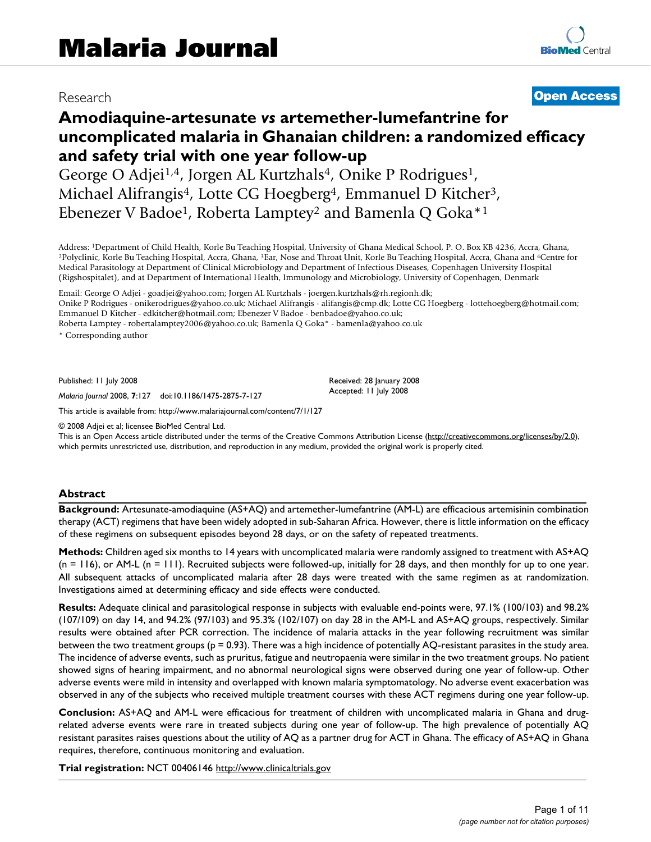# Research **[Open Access](http://www.biomedcentral.com/info/about/charter/)**

# **Amodiaquine-artesunate** *vs* **artemether-lumefantrine for uncomplicated malaria in Ghanaian children: a randomized efficacy and safety trial with one year follow-up**

George O Adjei<sup>1,4</sup>, Jorgen AL Kurtzhals<sup>4</sup>, Onike P Rodrigues<sup>1</sup>, Michael Alifrangis<sup>4</sup>, Lotte CG Hoegberg<sup>4</sup>, Emmanuel D Kitcher<sup>3</sup>, Ebenezer V Badoe1, Roberta Lamptey2 and Bamenla Q Goka\*1

Address: <sup>1</sup>Department of Child Health, Korle Bu Teaching Hospital, University of Ghana Medical School, P. O. Box KB 4236, Accra, Ghana,<br><sup>2</sup>Polyclinic, Korle Bu Teaching Hospital, Accra, Ghana, <sup>3</sup>Ear, Nose and Throat Unit Medical Parasitology at Department of Clinical Microbiology and Department of Infectious Diseases, Copenhagen University Hospital (Rigshospitalet), and at Department of International Health, Immunology and Microbiology, University of Copenhagen, Denmark

Email: George O Adjei - goadjei@yahoo.com; Jorgen AL Kurtzhals - joergen.kurtzhals@rh.regionh.dk;

Onike P Rodrigues - onikerodrigues@yahoo.co.uk; Michael Alifrangis - alifangis@cmp.dk; Lotte CG Hoegberg - lottehoegberg@hotmail.com; Emmanuel D Kitcher - edkitcher@hotmail.com; Ebenezer V Badoe - benbadoe@yahoo.co.uk;

Roberta Lamptey - robertalamptey2006@yahoo.co.uk; Bamenla Q Goka\* - bamenla@yahoo.co.uk

\* Corresponding author

Published: 11 July 2008

*Malaria Journal* 2008, **7**:127 doi:10.1186/1475-2875-7-127

[This article is available from: http://www.malariajournal.com/content/7/1/127](http://www.malariajournal.com/content/7/1/127)

© 2008 Adjei et al; licensee BioMed Central Ltd.

This is an Open Access article distributed under the terms of the Creative Commons Attribution License [\(http://creativecommons.org/licenses/by/2.0\)](http://creativecommons.org/licenses/by/2.0), which permits unrestricted use, distribution, and reproduction in any medium, provided the original work is properly cited.

Received: 28 January 2008 Accepted: 11 July 2008

#### **Abstract**

**Background:** Artesunate-amodiaquine (AS+AQ) and artemether-lumefantrine (AM-L) are efficacious artemisinin combination therapy (ACT) regimens that have been widely adopted in sub-Saharan Africa. However, there is little information on the efficacy of these regimens on subsequent episodes beyond 28 days, or on the safety of repeated treatments.

**Methods:** Children aged six months to 14 years with uncomplicated malaria were randomly assigned to treatment with AS+AQ  $(n = 116)$ , or AM-L  $(n = 111)$ . Recruited subjects were followed-up, initially for 28 days, and then monthly for up to one year. All subsequent attacks of uncomplicated malaria after 28 days were treated with the same regimen as at randomization. Investigations aimed at determining efficacy and side effects were conducted.

**Results:** Adequate clinical and parasitological response in subjects with evaluable end-points were, 97.1% (100/103) and 98.2% (107/109) on day 14, and 94.2% (97/103) and 95.3% (102/107) on day 28 in the AM-L and AS+AQ groups, respectively. Similar results were obtained after PCR correction. The incidence of malaria attacks in the year following recruitment was similar between the two treatment groups (p = 0.93). There was a high incidence of potentially AQ-resistant parasites in the study area. The incidence of adverse events, such as pruritus, fatigue and neutropaenia were similar in the two treatment groups. No patient showed signs of hearing impairment, and no abnormal neurological signs were observed during one year of follow-up. Other adverse events were mild in intensity and overlapped with known malaria symptomatology. No adverse event exacerbation was observed in any of the subjects who received multiple treatment courses with these ACT regimens during one year follow-up.

**Conclusion:** AS+AQ and AM-L were efficacious for treatment of children with uncomplicated malaria in Ghana and drugrelated adverse events were rare in treated subjects during one year of follow-up. The high prevalence of potentially AQ resistant parasites raises questions about the utility of AQ as a partner drug for ACT in Ghana. The efficacy of AS+AQ in Ghana requires, therefore, continuous monitoring and evaluation.

**Trial registration:** NCT 00406146<http://www.clinicaltrials.gov>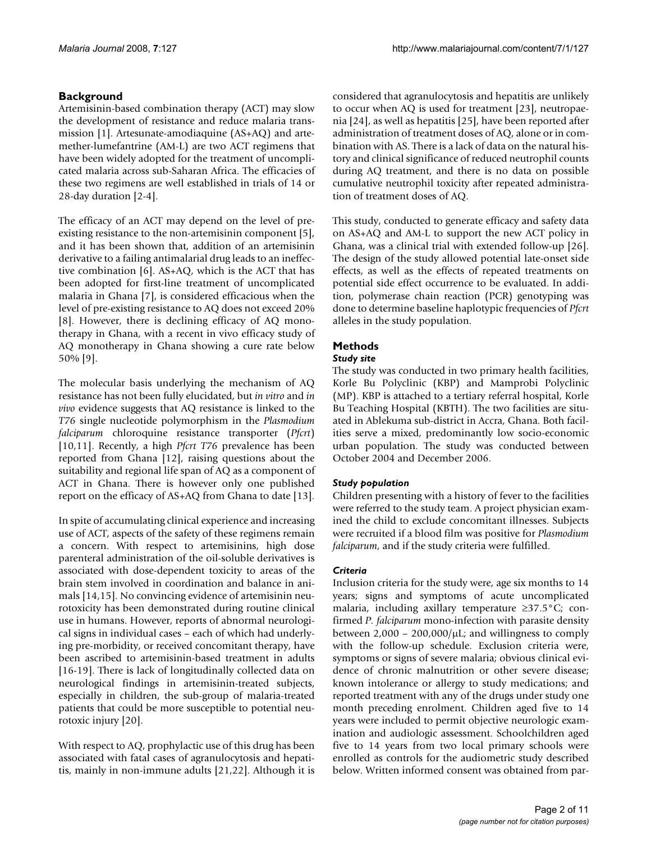# **Background**

Artemisinin-based combination therapy (ACT) may slow the development of resistance and reduce malaria transmission [1]. Artesunate-amodiaquine (AS+AQ) and artemether-lumefantrine (AM-L) are two ACT regimens that have been widely adopted for the treatment of uncomplicated malaria across sub-Saharan Africa. The efficacies of these two regimens are well established in trials of 14 or 28-day duration [2-4].

The efficacy of an ACT may depend on the level of preexisting resistance to the non-artemisinin component [5], and it has been shown that, addition of an artemisinin derivative to a failing antimalarial drug leads to an ineffective combination [6]. AS+AQ, which is the ACT that has been adopted for first-line treatment of uncomplicated malaria in Ghana [7], is considered efficacious when the level of pre-existing resistance to AQ does not exceed 20% [8]. However, there is declining efficacy of AQ monotherapy in Ghana, with a recent in vivo efficacy study of AQ monotherapy in Ghana showing a cure rate below 50% [9].

The molecular basis underlying the mechanism of AQ resistance has not been fully elucidated, but *in vitro* and *in vivo* evidence suggests that AQ resistance is linked to the *T76* single nucleotide polymorphism in the *Plasmodium falciparum* chloroquine resistance transporter (*Pfcrt*) [10,11]. Recently, a high *Pfcrt T76* prevalence has been reported from Ghana [12], raising questions about the suitability and regional life span of AQ as a component of ACT in Ghana. There is however only one published report on the efficacy of AS+AQ from Ghana to date [13].

In spite of accumulating clinical experience and increasing use of ACT, aspects of the safety of these regimens remain a concern. With respect to artemisinins, high dose parenteral administration of the oil-soluble derivatives is associated with dose-dependent toxicity to areas of the brain stem involved in coordination and balance in animals [14,15]. No convincing evidence of artemisinin neurotoxicity has been demonstrated during routine clinical use in humans. However, reports of abnormal neurological signs in individual cases – each of which had underlying pre-morbidity, or received concomitant therapy, have been ascribed to artemisinin-based treatment in adults [16-19]. There is lack of longitudinally collected data on neurological findings in artemisinin-treated subjects, especially in children, the sub-group of malaria-treated patients that could be more susceptible to potential neurotoxic injury [20].

With respect to AQ, prophylactic use of this drug has been associated with fatal cases of agranulocytosis and hepatitis, mainly in non-immune adults [21,22]. Although it is considered that agranulocytosis and hepatitis are unlikely to occur when AQ is used for treatment [23], neutropaenia [24], as well as hepatitis [25], have been reported after administration of treatment doses of AQ, alone or in combination with AS. There is a lack of data on the natural history and clinical significance of reduced neutrophil counts during AQ treatment, and there is no data on possible cumulative neutrophil toxicity after repeated administration of treatment doses of AQ.

This study, conducted to generate efficacy and safety data on AS+AQ and AM-L to support the new ACT policy in Ghana, was a clinical trial with extended follow-up [26]. The design of the study allowed potential late-onset side effects, as well as the effects of repeated treatments on potential side effect occurrence to be evaluated. In addition, polymerase chain reaction (PCR) genotyping was done to determine baseline haplotypic frequencies of *Pfcrt* alleles in the study population.

# **Methods**

# *Study site*

The study was conducted in two primary health facilities, Korle Bu Polyclinic (KBP) and Mamprobi Polyclinic (MP). KBP is attached to a tertiary referral hospital, Korle Bu Teaching Hospital (KBTH). The two facilities are situated in Ablekuma sub-district in Accra, Ghana. Both facilities serve a mixed, predominantly low socio-economic urban population. The study was conducted between October 2004 and December 2006.

# *Study population*

Children presenting with a history of fever to the facilities were referred to the study team. A project physician examined the child to exclude concomitant illnesses. Subjects were recruited if a blood film was positive for *Plasmodium falciparum*, and if the study criteria were fulfilled.

# *Criteria*

Inclusion criteria for the study were, age six months to 14 years; signs and symptoms of acute uncomplicated malaria, including axillary temperature ≥37.5°C; confirmed *P. falciparum* mono-infection with parasite density between  $2,000 - 200,000/\mu L$ ; and willingness to comply with the follow-up schedule. Exclusion criteria were, symptoms or signs of severe malaria; obvious clinical evidence of chronic malnutrition or other severe disease; known intolerance or allergy to study medications; and reported treatment with any of the drugs under study one month preceding enrolment. Children aged five to 14 years were included to permit objective neurologic examination and audiologic assessment. Schoolchildren aged five to 14 years from two local primary schools were enrolled as controls for the audiometric study described below. Written informed consent was obtained from par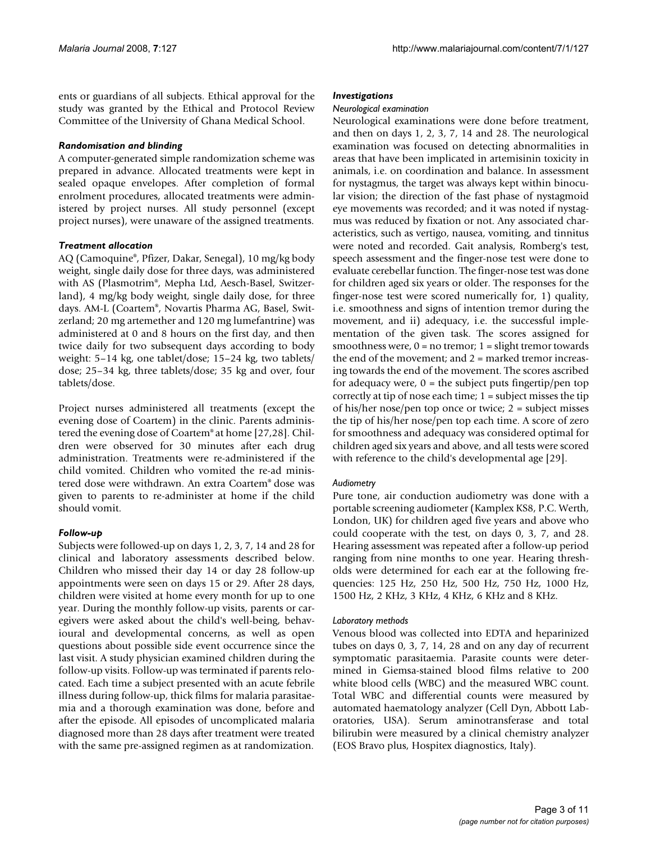ents or guardians of all subjects. Ethical approval for the study was granted by the Ethical and Protocol Review Committee of the University of Ghana Medical School.

#### *Randomisation and blinding*

A computer-generated simple randomization scheme was prepared in advance. Allocated treatments were kept in sealed opaque envelopes. After completion of formal enrolment procedures, allocated treatments were administered by project nurses. All study personnel (except project nurses), were unaware of the assigned treatments.

### *Treatment allocation*

AQ (Camoquine®, Pfizer, Dakar, Senegal), 10 mg/kg body weight, single daily dose for three days, was administered with AS (Plasmotrim®, Mepha Ltd, Aesch-Basel, Switzerland), 4 mg/kg body weight, single daily dose, for three days. AM-L (Coartem®, Novartis Pharma AG, Basel, Switzerland; 20 mg artemether and 120 mg lumefantrine) was administered at 0 and 8 hours on the first day, and then twice daily for two subsequent days according to body weight: 5–14 kg, one tablet/dose; 15–24 kg, two tablets/ dose; 25–34 kg, three tablets/dose; 35 kg and over, four tablets/dose.

Project nurses administered all treatments (except the evening dose of Coartem) in the clinic. Parents administered the evening dose of Coartem® at home [27,28]. Children were observed for 30 minutes after each drug administration. Treatments were re-administered if the child vomited. Children who vomited the re-ad ministered dose were withdrawn. An extra Coartem® dose was given to parents to re-administer at home if the child should vomit.

# *Follow-up*

Subjects were followed-up on days 1, 2, 3, 7, 14 and 28 for clinical and laboratory assessments described below. Children who missed their day 14 or day 28 follow-up appointments were seen on days 15 or 29. After 28 days, children were visited at home every month for up to one year. During the monthly follow-up visits, parents or caregivers were asked about the child's well-being, behavioural and developmental concerns, as well as open questions about possible side event occurrence since the last visit. A study physician examined children during the follow-up visits. Follow-up was terminated if parents relocated. Each time a subject presented with an acute febrile illness during follow-up, thick films for malaria parasitaemia and a thorough examination was done, before and after the episode. All episodes of uncomplicated malaria diagnosed more than 28 days after treatment were treated with the same pre-assigned regimen as at randomization.

#### *Investigations*

#### *Neurological examination*

Neurological examinations were done before treatment, and then on days 1, 2, 3, 7, 14 and 28. The neurological examination was focused on detecting abnormalities in areas that have been implicated in artemisinin toxicity in animals, i.e. on coordination and balance. In assessment for nystagmus, the target was always kept within binocular vision; the direction of the fast phase of nystagmoid eye movements was recorded; and it was noted if nystagmus was reduced by fixation or not. Any associated characteristics, such as vertigo, nausea, vomiting, and tinnitus were noted and recorded. Gait analysis, Romberg's test, speech assessment and the finger-nose test were done to evaluate cerebellar function. The finger-nose test was done for children aged six years or older. The responses for the finger-nose test were scored numerically for, 1) quality, i.e. smoothness and signs of intention tremor during the movement, and ii) adequacy, i.e. the successful implementation of the given task. The scores assigned for smoothness were,  $0 =$  no tremor;  $1 =$  slight tremor towards the end of the movement; and 2 = marked tremor increasing towards the end of the movement. The scores ascribed for adequacy were,  $0 =$  the subject puts fingertip/pen top correctly at tip of nose each time; 1 = subject misses the tip of his/her nose/pen top once or twice; 2 = subject misses the tip of his/her nose/pen top each time. A score of zero for smoothness and adequacy was considered optimal for children aged six years and above, and all tests were scored with reference to the child's developmental age [29].

#### *Audiometry*

Pure tone, air conduction audiometry was done with a portable screening audiometer (Kamplex KS8, P.C. Werth, London, UK) for children aged five years and above who could cooperate with the test, on days 0, 3, 7, and 28. Hearing assessment was repeated after a follow-up period ranging from nine months to one year. Hearing thresholds were determined for each ear at the following frequencies: 125 Hz, 250 Hz, 500 Hz, 750 Hz, 1000 Hz, 1500 Hz, 2 KHz, 3 KHz, 4 KHz, 6 KHz and 8 KHz.

#### *Laboratory methods*

Venous blood was collected into EDTA and heparinized tubes on days 0, 3, 7, 14, 28 and on any day of recurrent symptomatic parasitaemia. Parasite counts were determined in Giemsa-stained blood films relative to 200 white blood cells (WBC) and the measured WBC count. Total WBC and differential counts were measured by automated haematology analyzer (Cell Dyn, Abbott Laboratories, USA). Serum aminotransferase and total bilirubin were measured by a clinical chemistry analyzer (EOS Bravo plus, Hospitex diagnostics, Italy).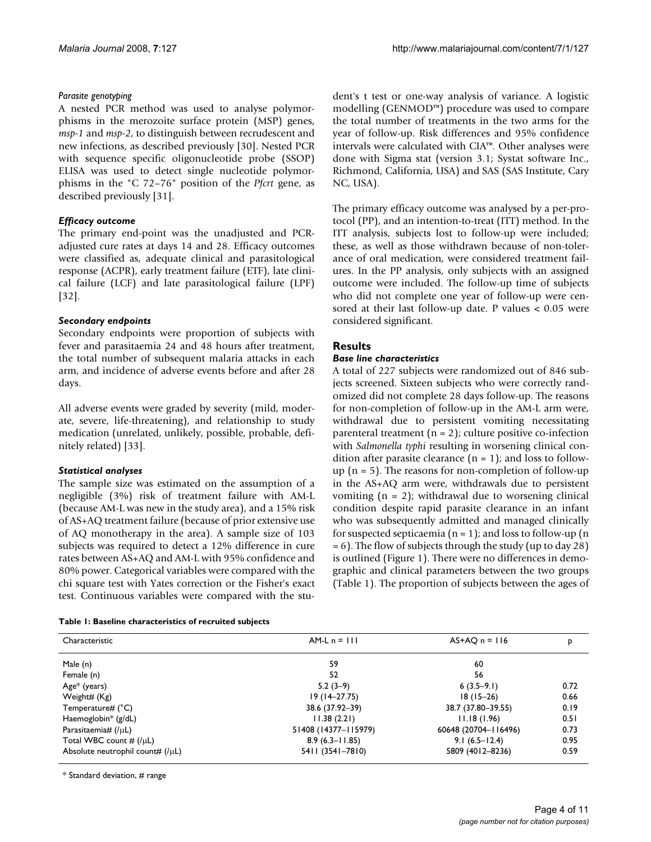# *Parasite genotyping*

A nested PCR method was used to analyse polymorphisms in the merozoite surface protein (MSP) genes, *msp-1* and *msp-2*, to distinguish between recrudescent and new infections, as described previously [30]. Nested PCR with sequence specific oligonucleotide probe (SSOP) ELISA was used to detect single nucleotide polymorphisms in the "C 72–76" position of the *Pfcrt* gene, as described previously [31].

# *Efficacy outcome*

The primary end-point was the unadjusted and PCRadjusted cure rates at days 14 and 28. Efficacy outcomes were classified as, adequate clinical and parasitological response (ACPR), early treatment failure (ETF), late clinical failure (LCF) and late parasitological failure (LPF) [32].

# *Secondary endpoints*

Secondary endpoints were proportion of subjects with fever and parasitaemia 24 and 48 hours after treatment, the total number of subsequent malaria attacks in each arm, and incidence of adverse events before and after 28 days.

All adverse events were graded by severity (mild, moderate, severe, life-threatening), and relationship to study medication (unrelated, unlikely, possible, probable, definitely related) [33].

# *Statistical analyses*

The sample size was estimated on the assumption of a negligible (3%) risk of treatment failure with AM-L (because AM-L was new in the study area), and a 15% risk of AS+AQ treatment failure (because of prior extensive use of AQ monotherapy in the area). A sample size of 103 subjects was required to detect a 12% difference in cure rates between AS+AQ and AM-L with 95% confidence and 80% power. Categorical variables were compared with the chi square test with Yates correction or the Fisher's exact test. Continuous variables were compared with the stu-

**Table 1: Baseline characteristics of recruited subjects**

dent's t test or one-way analysis of variance. A logistic modelling (GENMOD™) procedure was used to compare the total number of treatments in the two arms for the year of follow-up. Risk differences and 95% confidence intervals were calculated with CIA™. Other analyses were done with Sigma stat (version 3.1; Systat software Inc., Richmond, California, USA) and SAS (SAS Institute, Cary NC, USA).

The primary efficacy outcome was analysed by a per-protocol (PP), and an intention-to-treat (ITT) method. In the ITT analysis, subjects lost to follow-up were included; these, as well as those withdrawn because of non-tolerance of oral medication, were considered treatment failures. In the PP analysis, only subjects with an assigned outcome were included. The follow-up time of subjects who did not complete one year of follow-up were censored at their last follow-up date. P values < 0.05 were considered significant.

# **Results**

# *Base line characteristics*

A total of 227 subjects were randomized out of 846 subjects screened. Sixteen subjects who were correctly randomized did not complete 28 days follow-up. The reasons for non-completion of follow-up in the AM-L arm were, withdrawal due to persistent vomiting necessitating parenteral treatment  $(n = 2)$ ; culture positive co-infection with *Salmonella typhi* resulting in worsening clinical condition after parasite clearance  $(n = 1)$ ; and loss to followup  $(n = 5)$ . The reasons for non-completion of follow-up in the AS+AQ arm were, withdrawals due to persistent vomiting  $(n = 2)$ ; withdrawal due to worsening clinical condition despite rapid parasite clearance in an infant who was subsequently admitted and managed clinically for suspected septicaemia ( $n = 1$ ); and loss to follow-up ( $n = 1$ ) = 6). The flow of subjects through the study (up to day 28) is outlined (Figure 1). There were no differences in demographic and clinical parameters between the two groups (Table 1). The proportion of subjects between the ages of

| Characteristic                     | $AM-Ln = 111$        | $AS+AO$ n = 116      | P    |
|------------------------------------|----------------------|----------------------|------|
| Male (n)                           | 59                   | 60                   |      |
| Female (n)                         | 52                   | 56                   |      |
| Age* (years)                       | $5.2(3-9)$           | $6(3.5-9.1)$         | 0.72 |
| Weight# (Kg)                       | $19(14 - 27.75)$     | $18(15-26)$          | 0.66 |
| Temperature# $(^{\circ}C)$         | 38.6 (37.92-39)      | 38.7 (37.80-39.55)   | 0.19 |
| Haemoglobin* $(g/dL)$              | 11.38(2.21)          | 11.18(1.96)          | 0.51 |
| Parasitaemia# $(1 \mu L)$          | 51408 (14377-115979) | 60648 (20704-116496) | 0.73 |
| Total WBC count $\#$ (/ $\mu$ L)   | $8.9(6.3 - 11.85)$   | $9.1(6.5-12.4)$      | 0.95 |
| Absolute neutrophil count# $(IµL)$ | 5411 (3541-7810)     | 5809 (4012-8236)     | 0.59 |

\* Standard deviation, # range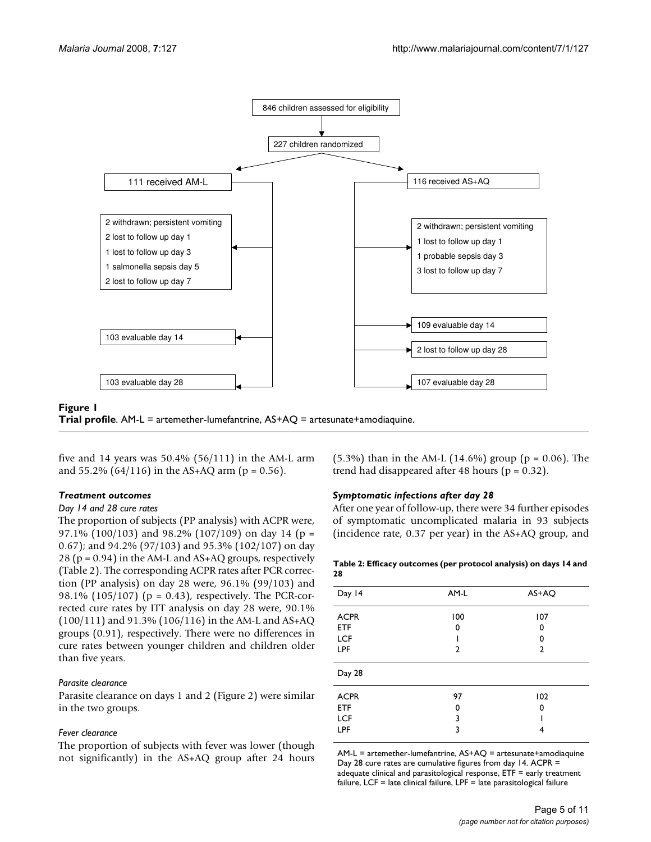

#### **Figure 1**

**Trial profile**. AM-L = artemether-lumefantrine, AS+AQ = artesunate+amodiaquine.

five and 14 years was  $50.4\%$  ( $56/111$ ) in the AM-L arm and  $55.2\%$  (64/116) in the AS+AQ arm (p = 0.56).

#### *Treatment outcomes*

#### *Day 14 and 28 cure rates*

The proportion of subjects (PP analysis) with ACPR were, 97.1% (100/103) and 98.2% (107/109) on day 14 (p = 0.67); and 94.2% (97/103) and 95.3% (102/107) on day 28 ( $p = 0.94$ ) in the AM-L and AS+AQ groups, respectively (Table 2). The corresponding ACPR rates after PCR correction (PP analysis) on day 28 were, 96.1% (99/103) and 98.1% (105/107) (p = 0.43), respectively. The PCR-corrected cure rates by ITT analysis on day 28 were, 90.1% (100/111) and 91.3% (106/116) in the AM-L and AS+AQ groups (0.91), respectively. There were no differences in cure rates between younger children and children older than five years.

#### *Parasite clearance*

Parasite clearance on days 1 and 2 (Figure 2) were similar in the two groups.

#### *Fever clearance*

The proportion of subjects with fever was lower (though not significantly) in the AS+AQ group after 24 hours  $(5.3\%)$  than in the AM-L  $(14.6\%)$  group (p = 0.06). The trend had disappeared after 48 hours ( $p = 0.32$ ).

#### *Symptomatic infections after day 28*

After one year of follow-up, there were 34 further episodes of symptomatic uncomplicated malaria in 93 subjects (incidence rate, 0.37 per year) in the AS+AQ group, and

#### **Table 2: Efficacy outcomes (per protocol analysis) on days 14 and 28**

| AM-L         | AS+AQ |
|--------------|-------|
| 100          | 107   |
| 0            | 0     |
|              | 0     |
| $\mathbf{2}$ | 2     |
|              |       |
| 97           | 102   |
| 0            | 0     |
| 3            |       |
| 3            | 4     |
|              |       |

AM-L = artemether-lumefantrine, AS+AQ = artesunate+amodiaquine Day 28 cure rates are cumulative figures from day 14. ACPR = adequate clinical and parasitological response, ETF = early treatment failure, LCF = late clinical failure, LPF = late parasitological failure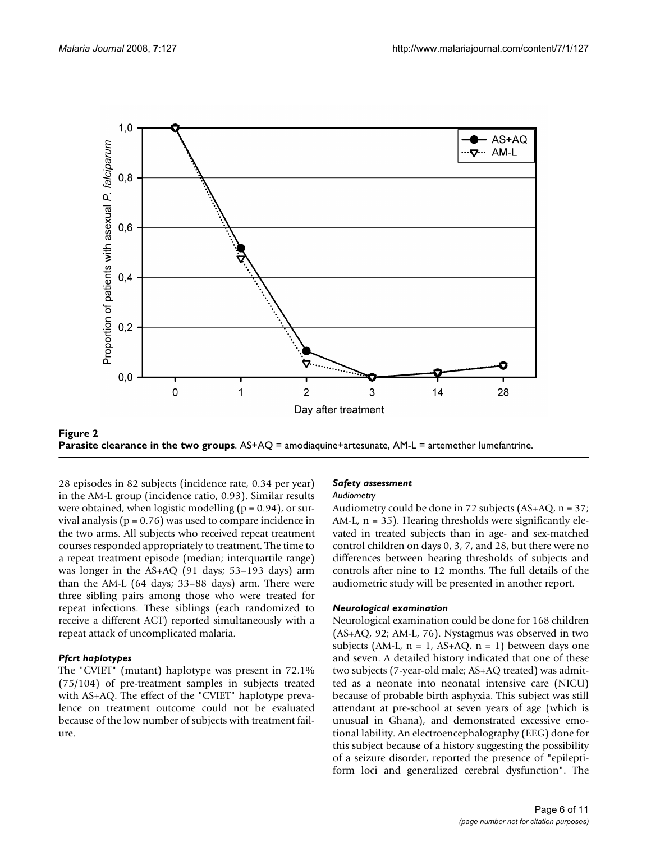

**Figure 2 Parasite clearance in the two groups**. AS+AQ = amodiaquine+artesunate, AM-L = artemether lumefantrine.

28 episodes in 82 subjects (incidence rate, 0.34 per year) in the AM-L group (incidence ratio, 0.93). Similar results were obtained, when logistic modelling  $(p = 0.94)$ , or survival analysis ( $p = 0.76$ ) was used to compare incidence in the two arms. All subjects who received repeat treatment courses responded appropriately to treatment. The time to a repeat treatment episode (median; interquartile range) was longer in the AS+AQ (91 days; 53–193 days) arm than the AM-L (64 days; 33–88 days) arm. There were three sibling pairs among those who were treated for repeat infections. These siblings (each randomized to receive a different ACT) reported simultaneously with a repeat attack of uncomplicated malaria.

#### *Pfcrt haplotypes*

The "CVIET" (mutant) haplotype was present in 72.1% (75/104) of pre-treatment samples in subjects treated with AS+AQ. The effect of the "CVIET" haplotype prevalence on treatment outcome could not be evaluated because of the low number of subjects with treatment failure.

#### *Safety assessment*

#### *Audiometry*

Audiometry could be done in 72 subjects (AS+AQ, n = 37; AM-L,  $n = 35$ ). Hearing thresholds were significantly elevated in treated subjects than in age- and sex-matched control children on days 0, 3, 7, and 28, but there were no differences between hearing thresholds of subjects and controls after nine to 12 months. The full details of the audiometric study will be presented in another report.

#### *Neurological examination*

Neurological examination could be done for 168 children (AS+AQ, 92; AM-L, 76). Nystagmus was observed in two subjects (AM-L,  $n = 1$ , AS+AQ,  $n = 1$ ) between days one and seven. A detailed history indicated that one of these two subjects (7-year-old male; AS+AQ treated) was admitted as a neonate into neonatal intensive care (NICU) because of probable birth asphyxia. This subject was still attendant at pre-school at seven years of age (which is unusual in Ghana), and demonstrated excessive emotional lability. An electroencephalography (EEG) done for this subject because of a history suggesting the possibility of a seizure disorder, reported the presence of "epileptiform loci and generalized cerebral dysfunction". The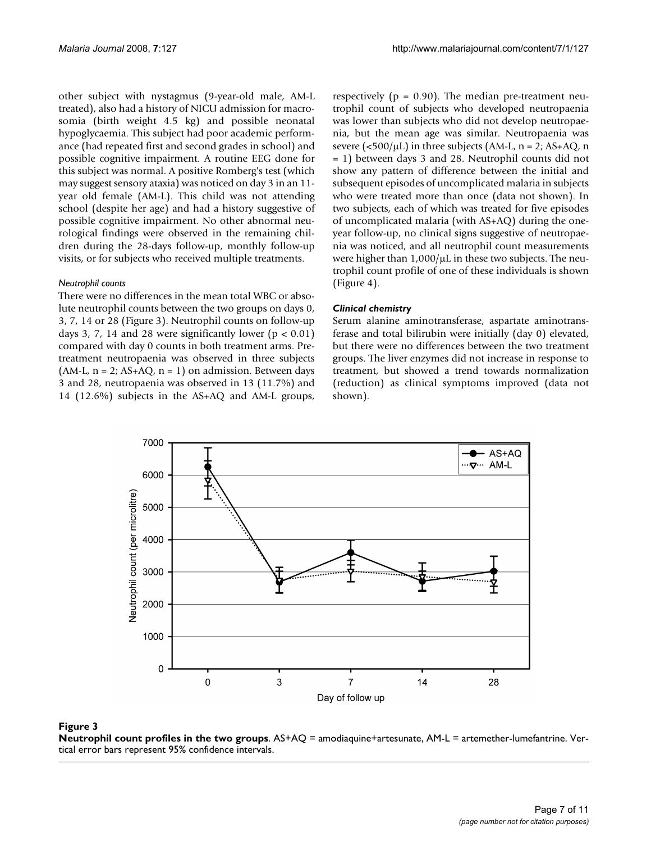other subject with nystagmus (9-year-old male, AM-L treated), also had a history of NICU admission for macrosomia (birth weight 4.5 kg) and possible neonatal hypoglycaemia. This subject had poor academic performance (had repeated first and second grades in school) and possible cognitive impairment. A routine EEG done for this subject was normal. A positive Romberg's test (which may suggest sensory ataxia) was noticed on day 3 in an 11 year old female (AM-L). This child was not attending school (despite her age) and had a history suggestive of possible cognitive impairment. No other abnormal neurological findings were observed in the remaining children during the 28-days follow-up, monthly follow-up visits, or for subjects who received multiple treatments.

#### *Neutrophil counts*

There were no differences in the mean total WBC or absolute neutrophil counts between the two groups on days 0, 3, 7, 14 or 28 (Figure 3). Neutrophil counts on follow-up days 3, 7, 14 and 28 were significantly lower ( $p < 0.01$ ) compared with day 0 counts in both treatment arms. Pretreatment neutropaenia was observed in three subjects (AM-L,  $n = 2$ ; AS+AQ,  $n = 1$ ) on admission. Between days 3 and 28, neutropaenia was observed in 13 (11.7%) and 14 (12.6%) subjects in the AS+AQ and AM-L groups,

respectively ( $p = 0.90$ ). The median pre-treatment neutrophil count of subjects who developed neutropaenia was lower than subjects who did not develop neutropaenia, but the mean age was similar. Neutropaenia was severe ( $\langle 500/\mu L \rangle$ ) in three subjects (AM-L, n = 2; AS+AQ, n = 1) between days 3 and 28. Neutrophil counts did not show any pattern of difference between the initial and subsequent episodes of uncomplicated malaria in subjects who were treated more than once (data not shown). In two subjects, each of which was treated for five episodes of uncomplicated malaria (with AS+AQ) during the oneyear follow-up, no clinical signs suggestive of neutropaenia was noticed, and all neutrophil count measurements were higher than  $1,000/\mu$ L in these two subjects. The neutrophil count profile of one of these individuals is shown (Figure 4).

#### *Clinical chemistry*

Serum alanine aminotransferase, aspartate aminotransferase and total bilirubin were initially (day 0) elevated, but there were no differences between the two treatment groups. The liver enzymes did not increase in response to treatment, but showed a trend towards normalization (reduction) as clinical symptoms improved (data not shown).



#### Figure 3

**Neutrophil count profiles in the two groups**. AS+AQ = amodiaquine+artesunate, AM-L = artemether-lumefantrine. Vertical error bars represent 95% confidence intervals.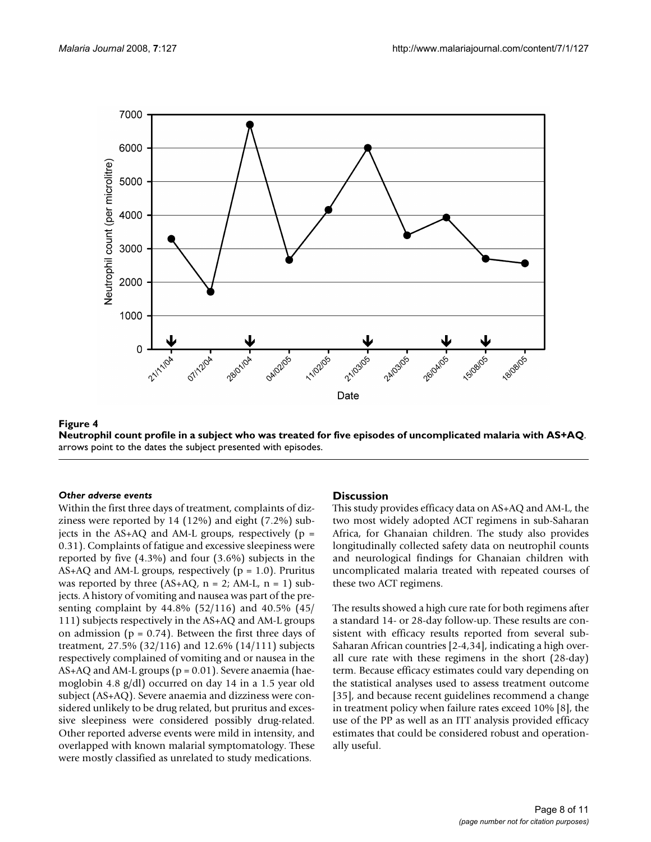

Neutrophil count profile in a subject **Figure 4** who was treated for five episodes of uncomplicated malaria with AS+AQ **Neutrophil count profile in a subject who was treated for five episodes of uncomplicated malaria with AS+AQ**. arrows point to the dates the subject presented with episodes.

#### *Other adverse events*

Within the first three days of treatment, complaints of dizziness were reported by 14 (12%) and eight (7.2%) subjects in the  $AS+AQ$  and  $AM-L$  groups, respectively ( $p =$ 0.31). Complaints of fatigue and excessive sleepiness were reported by five (4.3%) and four (3.6%) subjects in the AS+AQ and AM-L groups, respectively ( $p = 1.0$ ). Pruritus was reported by three  $(AS+AQ, n = 2; AM-L, n = 1)$  subjects. A history of vomiting and nausea was part of the presenting complaint by 44.8% (52/116) and 40.5% (45/ 111) subjects respectively in the AS+AQ and AM-L groups on admission ( $p = 0.74$ ). Between the first three days of treatment, 27.5% (32/116) and 12.6% (14/111) subjects respectively complained of vomiting and or nausea in the  $AS+AQ$  and  $AM-L$  groups ( $p = 0.01$ ). Severe anaemia (haemoglobin 4.8 g/dl) occurred on day 14 in a 1.5 year old subject (AS+AQ). Severe anaemia and dizziness were considered unlikely to be drug related, but pruritus and excessive sleepiness were considered possibly drug-related. Other reported adverse events were mild in intensity, and overlapped with known malarial symptomatology. These were mostly classified as unrelated to study medications.

#### **Discussion**

This study provides efficacy data on AS+AQ and AM-L, the two most widely adopted ACT regimens in sub-Saharan Africa, for Ghanaian children. The study also provides longitudinally collected safety data on neutrophil counts and neurological findings for Ghanaian children with uncomplicated malaria treated with repeated courses of these two ACT regimens.

The results showed a high cure rate for both regimens after a standard 14- or 28-day follow-up. These results are consistent with efficacy results reported from several sub-Saharan African countries [2-4,34], indicating a high overall cure rate with these regimens in the short (28-day) term. Because efficacy estimates could vary depending on the statistical analyses used to assess treatment outcome [35], and because recent guidelines recommend a change in treatment policy when failure rates exceed 10% [8], the use of the PP as well as an ITT analysis provided efficacy estimates that could be considered robust and operationally useful.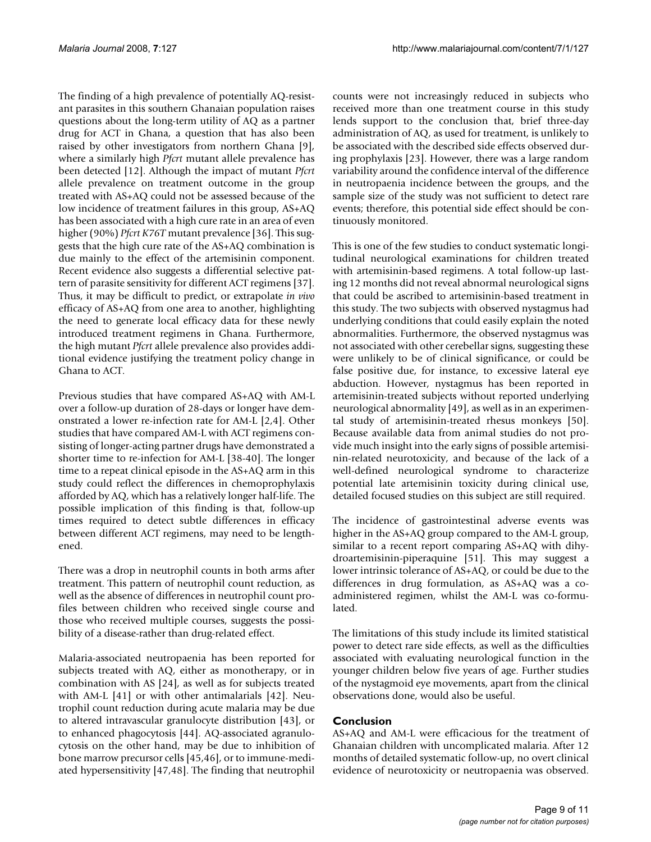The finding of a high prevalence of potentially AQ-resistant parasites in this southern Ghanaian population raises questions about the long-term utility of AQ as a partner drug for ACT in Ghana, a question that has also been raised by other investigators from northern Ghana [9], where a similarly high *Pfcrt* mutant allele prevalence has been detected [12]. Although the impact of mutant *Pfcrt* allele prevalence on treatment outcome in the group treated with AS+AQ could not be assessed because of the low incidence of treatment failures in this group, AS+AQ has been associated with a high cure rate in an area of even higher (90%) *Pfcrt K76T* mutant prevalence [36]. This suggests that the high cure rate of the AS+AQ combination is due mainly to the effect of the artemisinin component. Recent evidence also suggests a differential selective pattern of parasite sensitivity for different ACT regimens [37]. Thus, it may be difficult to predict, or extrapolate *in vivo* efficacy of AS+AQ from one area to another, highlighting the need to generate local efficacy data for these newly introduced treatment regimens in Ghana. Furthermore, the high mutant *Pfcrt* allele prevalence also provides additional evidence justifying the treatment policy change in Ghana to ACT.

Previous studies that have compared AS+AQ with AM-L over a follow-up duration of 28-days or longer have demonstrated a lower re-infection rate for AM-L [2,4]. Other studies that have compared AM-L with ACT regimens consisting of longer-acting partner drugs have demonstrated a shorter time to re-infection for AM-L [38-40]. The longer time to a repeat clinical episode in the AS+AQ arm in this study could reflect the differences in chemoprophylaxis afforded by AQ, which has a relatively longer half-life. The possible implication of this finding is that, follow-up times required to detect subtle differences in efficacy between different ACT regimens, may need to be lengthened.

There was a drop in neutrophil counts in both arms after treatment. This pattern of neutrophil count reduction, as well as the absence of differences in neutrophil count profiles between children who received single course and those who received multiple courses, suggests the possibility of a disease-rather than drug-related effect.

Malaria-associated neutropaenia has been reported for subjects treated with AQ, either as monotherapy, or in combination with AS [24], as well as for subjects treated with AM-L [41] or with other antimalarials [42]. Neutrophil count reduction during acute malaria may be due to altered intravascular granulocyte distribution [43], or to enhanced phagocytosis [44]. AQ-associated agranulocytosis on the other hand, may be due to inhibition of bone marrow precursor cells [45,46], or to immune-mediated hypersensitivity [47,48]. The finding that neutrophil

counts were not increasingly reduced in subjects who received more than one treatment course in this study lends support to the conclusion that, brief three-day administration of AQ, as used for treatment, is unlikely to be associated with the described side effects observed during prophylaxis [23]. However, there was a large random variability around the confidence interval of the difference in neutropaenia incidence between the groups, and the sample size of the study was not sufficient to detect rare events; therefore, this potential side effect should be continuously monitored.

This is one of the few studies to conduct systematic longitudinal neurological examinations for children treated with artemisinin-based regimens. A total follow-up lasting 12 months did not reveal abnormal neurological signs that could be ascribed to artemisinin-based treatment in this study. The two subjects with observed nystagmus had underlying conditions that could easily explain the noted abnormalities. Furthermore, the observed nystagmus was not associated with other cerebellar signs, suggesting these were unlikely to be of clinical significance, or could be false positive due, for instance, to excessive lateral eye abduction. However, nystagmus has been reported in artemisinin-treated subjects without reported underlying neurological abnormality [49], as well as in an experimental study of artemisinin-treated rhesus monkeys [50]. Because available data from animal studies do not provide much insight into the early signs of possible artemisinin-related neurotoxicity, and because of the lack of a well-defined neurological syndrome to characterize potential late artemisinin toxicity during clinical use, detailed focused studies on this subject are still required.

The incidence of gastrointestinal adverse events was higher in the AS+AQ group compared to the AM-L group, similar to a recent report comparing AS+AQ with dihydroartemisinin-piperaquine [51]. This may suggest a lower intrinsic tolerance of AS+AQ, or could be due to the differences in drug formulation, as AS+AQ was a coadministered regimen, whilst the AM-L was co-formulated.

The limitations of this study include its limited statistical power to detect rare side effects, as well as the difficulties associated with evaluating neurological function in the younger children below five years of age. Further studies of the nystagmoid eye movements, apart from the clinical observations done, would also be useful.

# **Conclusion**

AS+AQ and AM-L were efficacious for the treatment of Ghanaian children with uncomplicated malaria. After 12 months of detailed systematic follow-up, no overt clinical evidence of neurotoxicity or neutropaenia was observed.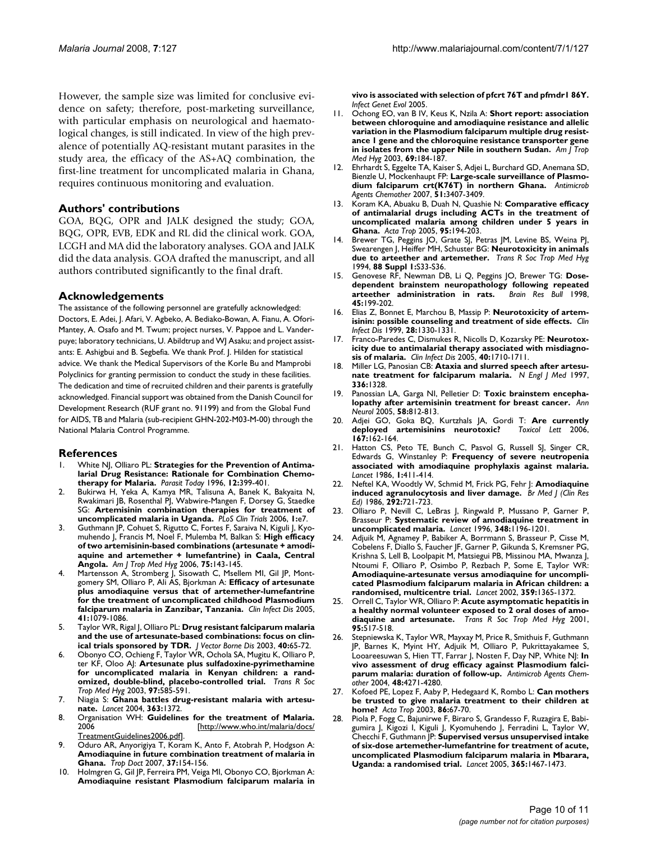However, the sample size was limited for conclusive evidence on safety; therefore, post-marketing surveillance, with particular emphasis on neurological and haematological changes, is still indicated. In view of the high prevalence of potentially AQ-resistant mutant parasites in the study area, the efficacy of the AS+AQ combination, the first-line treatment for uncomplicated malaria in Ghana, requires continuous monitoring and evaluation.

### **Authors' contributions**

GOA, BQG, OPR and JALK designed the study; GOA, BQG, OPR, EVB, EDK and RL did the clinical work. GOA, LCGH and MA did the laboratory analyses. GOA and JALK did the data analysis. GOA drafted the manuscript, and all authors contributed significantly to the final draft.

### **Acknowledgements**

The assistance of the following personnel are gratefully acknowledged: Doctors, E. Adei, J. Afari, V. Agbeko, A. Bediako-Bowan, A. Fianu, A. Ofori-Mantey, A. Osafo and M. Twum; project nurses, V. Pappoe and L. Vanderpuye; laboratory technicians, U. Abildtrup and WJ Asaku; and project assistants: E. Ashigbui and B. Segbefia. We thank Prof. J. Hilden for statistical advice. We thank the Medical Supervisors of the Korle Bu and Mamprobi Polyclinics for granting permission to conduct the study in these facilities. The dedication and time of recruited children and their parents is gratefully acknowledged. Financial support was obtained from the Danish Council for Development Research (RUF grant no. 91199) and from the Global Fund for AIDS, TB and Malaria (sub-recipient GHN-202-M03-M-00) through the National Malaria Control Programme.

#### **References**

- White NJ, Olliaro PL: [Strategies for the Prevention of Antima](http://www.ncbi.nlm.nih.gov/entrez/query.fcgi?cmd=Retrieve&db=PubMed&dopt=Abstract&list_uids=15275291)**[larial Drug Resistance: Rationale for Combination Chemo](http://www.ncbi.nlm.nih.gov/entrez/query.fcgi?cmd=Retrieve&db=PubMed&dopt=Abstract&list_uids=15275291)[therapy for Malaria.](http://www.ncbi.nlm.nih.gov/entrez/query.fcgi?cmd=Retrieve&db=PubMed&dopt=Abstract&list_uids=15275291)** *Parasit Today* 1996, **12:**399-401.
- 2. Bukirwa H, Yeka A, Kamya MR, Talisuna A, Banek K, Bakyaita N, Rwakimari JB, Rosenthal PJ, Wabwire-Mangen F, Dorsey G, Staedke SG: **[Artemisinin combination therapies for treatment of](http://www.ncbi.nlm.nih.gov/entrez/query.fcgi?cmd=Retrieve&db=PubMed&dopt=Abstract&list_uids=16871329) [uncomplicated malaria in Uganda.](http://www.ncbi.nlm.nih.gov/entrez/query.fcgi?cmd=Retrieve&db=PubMed&dopt=Abstract&list_uids=16871329)** *PLoS Clin Trials* 2006, **1:**e7.
- 3. Guthmann JP, Cohuet S, Rigutto C, Fortes F, Saraiva N, Kiguli J, Kyomuhendo J, Francis M, Noel F, Mulemba M, Balkan S: **[High efficacy](http://www.ncbi.nlm.nih.gov/entrez/query.fcgi?cmd=Retrieve&db=PubMed&dopt=Abstract&list_uids=16837721) [of two artemisinin-based combinations \(artesunate + amodi](http://www.ncbi.nlm.nih.gov/entrez/query.fcgi?cmd=Retrieve&db=PubMed&dopt=Abstract&list_uids=16837721)aquine and artemether + lumefantrine) in Caala, Central [Angola.](http://www.ncbi.nlm.nih.gov/entrez/query.fcgi?cmd=Retrieve&db=PubMed&dopt=Abstract&list_uids=16837721)** *Am J Trop Med Hyg* 2006, **75:**143-145.
- 4. Martensson A, Stromberg J, Sisowath C, Msellem MI, Gil JP, Montgomery SM, Olliaro P, Ali AS, Bjorkman A: **[Efficacy of artesunate](http://www.ncbi.nlm.nih.gov/entrez/query.fcgi?cmd=Retrieve&db=PubMed&dopt=Abstract&list_uids=16163624) [plus amodiaquine versus that of artemether-lumefantrine](http://www.ncbi.nlm.nih.gov/entrez/query.fcgi?cmd=Retrieve&db=PubMed&dopt=Abstract&list_uids=16163624) for the treatment of uncomplicated childhood Plasmodium [falciparum malaria in Zanzibar, Tanzania.](http://www.ncbi.nlm.nih.gov/entrez/query.fcgi?cmd=Retrieve&db=PubMed&dopt=Abstract&list_uids=16163624)** *Clin Infect Dis* 2005, **41:**1079-1086.
- 5. Taylor WR, Rigal J, Olliaro PL: **[Drug resistant falciparum malaria](http://www.ncbi.nlm.nih.gov/entrez/query.fcgi?cmd=Retrieve&db=PubMed&dopt=Abstract&list_uids=15119074) [and the use of artesunate-based combinations: focus on clin](http://www.ncbi.nlm.nih.gov/entrez/query.fcgi?cmd=Retrieve&db=PubMed&dopt=Abstract&list_uids=15119074)[ical trials sponsored by TDR.](http://www.ncbi.nlm.nih.gov/entrez/query.fcgi?cmd=Retrieve&db=PubMed&dopt=Abstract&list_uids=15119074)** *J Vector Borne Dis* 2003, **40:**65-72.
- 6. Obonyo CO, Ochieng F, Taylor WR, Ochola SA, Mugitu K, Olliaro P, ter KF, Oloo AJ: **[Artesunate plus sulfadoxine-pyrimethamine](http://www.ncbi.nlm.nih.gov/entrez/query.fcgi?cmd=Retrieve&db=PubMed&dopt=Abstract&list_uids=15307433) [for uncomplicated malaria in Kenyan children: a rand](http://www.ncbi.nlm.nih.gov/entrez/query.fcgi?cmd=Retrieve&db=PubMed&dopt=Abstract&list_uids=15307433)[omized, double-blind, placebo-controlled trial.](http://www.ncbi.nlm.nih.gov/entrez/query.fcgi?cmd=Retrieve&db=PubMed&dopt=Abstract&list_uids=15307433)** *Trans R Soc Trop Med Hyg* 2003, **97:**585-591.
- 7. Niagia S: **[Ghana battles drug-resistant malaria with artesu](http://www.ncbi.nlm.nih.gov/entrez/query.fcgi?cmd=Retrieve&db=PubMed&dopt=Abstract&list_uids=15112707)[nate.](http://www.ncbi.nlm.nih.gov/entrez/query.fcgi?cmd=Retrieve&db=PubMed&dopt=Abstract&list_uids=15112707)** *Lancet* 2004, **363:**1372.
- 8. Organisation WH: **Guidelines for the treatment of Malaria.** 2006 [\[http://www.who.int/malaria/docs/](http://www.who.int/malaria/docs/TreatmentGuidelines2006.pdf) [TreatmentGuidelines2006.pdf](http://www.who.int/malaria/docs/TreatmentGuidelines2006.pdf)].
- 9. Oduro AR, Anyorigiya T, Koram K, Anto F, Atobrah P, Hodgson A: **[Amodiaquine in future combination treatment of malaria in](http://www.ncbi.nlm.nih.gov/entrez/query.fcgi?cmd=Retrieve&db=PubMed&dopt=Abstract&list_uids=17716502) [Ghana.](http://www.ncbi.nlm.nih.gov/entrez/query.fcgi?cmd=Retrieve&db=PubMed&dopt=Abstract&list_uids=17716502)** *Trop Doct* 2007, **37:**154-156.
- 10. Holmgren G, Gil JP, Ferreira PM, Veiga MI, Obonyo CO, Bjorkman A: **[Amodiaquine resistant Plasmodium falciparum malaria in](http://www.ncbi.nlm.nih.gov/entrez/query.fcgi?cmd=Retrieve&db=PubMed&dopt=Abstract&list_uids=16271310)**

**[vivo is associated with selection of pfcrt 76T and pfmdr1 86Y.](http://www.ncbi.nlm.nih.gov/entrez/query.fcgi?cmd=Retrieve&db=PubMed&dopt=Abstract&list_uids=16271310)** *Infect Genet Evol* 2005.

- 11. Ochong EO, van B IV, Keus K, Nzila A: **[Short report: association](http://www.ncbi.nlm.nih.gov/entrez/query.fcgi?cmd=Retrieve&db=PubMed&dopt=Abstract&list_uids=13677373) [between chloroquine and amodiaquine resistance and allelic](http://www.ncbi.nlm.nih.gov/entrez/query.fcgi?cmd=Retrieve&db=PubMed&dopt=Abstract&list_uids=13677373) variation in the Plasmodium falciparum multiple drug resistance 1 gene and the chloroquine resistance transporter gene [in isolates from the upper Nile in southern Sudan.](http://www.ncbi.nlm.nih.gov/entrez/query.fcgi?cmd=Retrieve&db=PubMed&dopt=Abstract&list_uids=13677373)** *Am J Trop Med Hyg* 2003, **69:**184-187.
- 12. Ehrhardt S, Eggelte TA, Kaiser S, Adjei L, Burchard GD, Anemana SD, Bienzle U, Mockenhaupt FP: **[Large-scale surveillance of Plasmo](http://www.ncbi.nlm.nih.gov/entrez/query.fcgi?cmd=Retrieve&db=PubMed&dopt=Abstract&list_uids=17562799)[dium falciparum crt\(K76T\) in northern Ghana.](http://www.ncbi.nlm.nih.gov/entrez/query.fcgi?cmd=Retrieve&db=PubMed&dopt=Abstract&list_uids=17562799)** *Antimicrob Agents Chemother* 2007, **51:**3407-3409.
- 13. Koram KA, Abuaku B, Duah N, Quashie N: **[Comparative efficacy](http://www.ncbi.nlm.nih.gov/entrez/query.fcgi?cmd=Retrieve&db=PubMed&dopt=Abstract&list_uids=16054584) [of antimalarial drugs including ACTs in the treatment of](http://www.ncbi.nlm.nih.gov/entrez/query.fcgi?cmd=Retrieve&db=PubMed&dopt=Abstract&list_uids=16054584) uncomplicated malaria among children under 5 years in [Ghana.](http://www.ncbi.nlm.nih.gov/entrez/query.fcgi?cmd=Retrieve&db=PubMed&dopt=Abstract&list_uids=16054584)** *Acta Trop* 2005, **95:**194-203.
- Brewer TG, Peggins JO, Grate SJ, Petras JM, Levine BS, Weina PJ, Swearengen J, Heiffer MH, Schuster BG: **[Neurotoxicity in animals](http://www.ncbi.nlm.nih.gov/entrez/query.fcgi?cmd=Retrieve&db=PubMed&dopt=Abstract&list_uids=8053022) [due to arteether and artemether.](http://www.ncbi.nlm.nih.gov/entrez/query.fcgi?cmd=Retrieve&db=PubMed&dopt=Abstract&list_uids=8053022)** *Trans R Soc Trop Med Hyg* 1994, **88 Suppl 1:**S33-S36.
- 15. Genovese RF, Newman DB, Li Q, Peggins JO, Brewer TG: **[Dose](http://www.ncbi.nlm.nih.gov/entrez/query.fcgi?cmd=Retrieve&db=PubMed&dopt=Abstract&list_uids=9443840)**[dependent brainstem neuropathology following repeated](http://www.ncbi.nlm.nih.gov/entrez/query.fcgi?cmd=Retrieve&db=PubMed&dopt=Abstract&list_uids=9443840) arteether administration in rats. **Brain Res Bull 1998**, [arteether administration in rats.](http://www.ncbi.nlm.nih.gov/entrez/query.fcgi?cmd=Retrieve&db=PubMed&dopt=Abstract&list_uids=9443840) **45:**199-202.
- 16. Elias Z, Bonnet E, Marchou B, Massip P: **[Neurotoxicity of artem](http://www.ncbi.nlm.nih.gov/entrez/query.fcgi?cmd=Retrieve&db=PubMed&dopt=Abstract&list_uids=10451183)[isinin: possible counseling and treatment of side effects.](http://www.ncbi.nlm.nih.gov/entrez/query.fcgi?cmd=Retrieve&db=PubMed&dopt=Abstract&list_uids=10451183)** *Clin Infect Dis* 1999, **28:**1330-1331.
- 17. Franco-Paredes C, Dismukes R, Nicolls D, Kozarsky PE: **[Neurotox](http://www.ncbi.nlm.nih.gov/entrez/query.fcgi?cmd=Retrieve&db=PubMed&dopt=Abstract&list_uids=15889385)[icity due to antimalarial therapy associated with misdiagno](http://www.ncbi.nlm.nih.gov/entrez/query.fcgi?cmd=Retrieve&db=PubMed&dopt=Abstract&list_uids=15889385)[sis of malaria.](http://www.ncbi.nlm.nih.gov/entrez/query.fcgi?cmd=Retrieve&db=PubMed&dopt=Abstract&list_uids=15889385)** *Clin Infect Dis* 2005, **40:**1710-1711.
- Miller LG, Panosian CB: [Ataxia and slurred speech after artesu](http://www.ncbi.nlm.nih.gov/entrez/query.fcgi?cmd=Retrieve&db=PubMed&dopt=Abstract&list_uids=9132599)**[nate treatment for falciparum malaria.](http://www.ncbi.nlm.nih.gov/entrez/query.fcgi?cmd=Retrieve&db=PubMed&dopt=Abstract&list_uids=9132599)** *N Engl J Med* 1997, **336:**1328.
- 19. Panossian LA, Garga NI, Pelletier D: **[Toxic brainstem encepha](http://www.ncbi.nlm.nih.gov/entrez/query.fcgi?cmd=Retrieve&db=PubMed&dopt=Abstract&list_uids=16240360)[lopathy after artemisinin treatment for breast cancer.](http://www.ncbi.nlm.nih.gov/entrez/query.fcgi?cmd=Retrieve&db=PubMed&dopt=Abstract&list_uids=16240360)** *Ann Neurol* 2005, **58:**812-813.
- 20. Adjei GO, Goka BQ, Kurtzhals JA, Gordi T: **[Are currently](http://www.ncbi.nlm.nih.gov/entrez/query.fcgi?cmd=Retrieve&db=PubMed&dopt=Abstract&list_uids=17049764) [deployed artemisinins neurotoxic?](http://www.ncbi.nlm.nih.gov/entrez/query.fcgi?cmd=Retrieve&db=PubMed&dopt=Abstract&list_uids=17049764)** *Toxicol Lett* 2006, **167:**162-164.
- 21. Hatton CS, Peto TE, Bunch C, Pasvol G, Russell SJ, Singer CR, Edwards G, Winstanley P: **[Frequency of severe neutropenia](http://www.ncbi.nlm.nih.gov/entrez/query.fcgi?cmd=Retrieve&db=PubMed&dopt=Abstract&list_uids=2868340) [associated with amodiaquine prophylaxis against malaria.](http://www.ncbi.nlm.nih.gov/entrez/query.fcgi?cmd=Retrieve&db=PubMed&dopt=Abstract&list_uids=2868340)** *Lancet* 1986, **1:**411-414.
- 22. Neftel KA, Woodtly W, Schmid M, Frick PG, Fehr J: **[Amodiaquine](http://www.ncbi.nlm.nih.gov/entrez/query.fcgi?cmd=Retrieve&db=PubMed&dopt=Abstract&list_uids=3082410) [induced agranulocytosis and liver damage.](http://www.ncbi.nlm.nih.gov/entrez/query.fcgi?cmd=Retrieve&db=PubMed&dopt=Abstract&list_uids=3082410)** *Br Med J (Clin Res Ed)* 1986, **292:**721-723.
- 23. Olliaro P, Nevill C, LeBras J, Ringwald P, Mussano P, Garner P, Brasseur P: **[Systematic review of amodiaquine treatment in](http://www.ncbi.nlm.nih.gov/entrez/query.fcgi?cmd=Retrieve&db=PubMed&dopt=Abstract&list_uids=8898036) [uncomplicated malaria.](http://www.ncbi.nlm.nih.gov/entrez/query.fcgi?cmd=Retrieve&db=PubMed&dopt=Abstract&list_uids=8898036)** *Lancet* 1996, **348:**1196-1201.
- Adjuik M, Agnamey P, Babiker A, Borrmann S, Brasseur P, Cisse M, Cobelens F, Diallo S, Faucher JF, Garner P, Gikunda S, Kremsner PG, Krishna S, Lell B, Loolpapit M, Matsiegui PB, Missinou MA, Mwanza J, Ntoumi F, Olliaro P, Osimbo P, Rezbach P, Some E, Taylor WR: **[Amodiaquine-artesunate versus amodiaquine for uncompli](http://www.ncbi.nlm.nih.gov/entrez/query.fcgi?cmd=Retrieve&db=PubMed&dopt=Abstract&list_uids=11978332)cated Plasmodium falciparum malaria in African children: a [randomised, multicentre trial.](http://www.ncbi.nlm.nih.gov/entrez/query.fcgi?cmd=Retrieve&db=PubMed&dopt=Abstract&list_uids=11978332)** *Lancet* 2002, **359:**1365-1372.
- 25. Orrell C, Taylor WR, Olliaro P: **[Acute asymptomatic hepatitis in](http://www.ncbi.nlm.nih.gov/entrez/query.fcgi?cmd=Retrieve&db=PubMed&dopt=Abstract&list_uids=11706664) [a healthy normal volunteer exposed to 2 oral doses of amo](http://www.ncbi.nlm.nih.gov/entrez/query.fcgi?cmd=Retrieve&db=PubMed&dopt=Abstract&list_uids=11706664)[diaquine and artesunate.](http://www.ncbi.nlm.nih.gov/entrez/query.fcgi?cmd=Retrieve&db=PubMed&dopt=Abstract&list_uids=11706664)** *Trans R Soc Trop Med Hyg* 2001, **95:**517-518.
- 26. Stepniewska K, Taylor WR, Mayxay M, Price R, Smithuis F, Guthmann JP, Barnes K, Myint HY, Adjuik M, Olliaro P, Pukrittayakamee S, Looareesuwan S, Hien TT, Farrar J, Nosten F, Day NP, White NJ: **[In](http://www.ncbi.nlm.nih.gov/entrez/query.fcgi?cmd=Retrieve&db=PubMed&dopt=Abstract&list_uids=15504852) [vivo assessment of drug efficacy against Plasmodium falci](http://www.ncbi.nlm.nih.gov/entrez/query.fcgi?cmd=Retrieve&db=PubMed&dopt=Abstract&list_uids=15504852)[parum malaria: duration of follow-up.](http://www.ncbi.nlm.nih.gov/entrez/query.fcgi?cmd=Retrieve&db=PubMed&dopt=Abstract&list_uids=15504852)** *Antimicrob Agents Chemother* 2004, **48:**4271-4280.
- 27. Kofoed PE, Lopez F, Aaby P, Hedegaard K, Rombo L: **[Can mothers](http://www.ncbi.nlm.nih.gov/entrez/query.fcgi?cmd=Retrieve&db=PubMed&dopt=Abstract&list_uids=12711105) [be trusted to give malaria treatment to their children at](http://www.ncbi.nlm.nih.gov/entrez/query.fcgi?cmd=Retrieve&db=PubMed&dopt=Abstract&list_uids=12711105) [home?](http://www.ncbi.nlm.nih.gov/entrez/query.fcgi?cmd=Retrieve&db=PubMed&dopt=Abstract&list_uids=12711105)** *Acta Trop* 2003, **86:**67-70.
- 28. Piola P, Fogg C, Bajunirwe F, Biraro S, Grandesso F, Ruzagira E, Babigumira J, Kigozi I, Kiguli J, Kyomuhendo J, Ferradini L, Taylor W, Checchi F, Guthmann JP: **[Supervised versus unsupervised intake](http://www.ncbi.nlm.nih.gov/entrez/query.fcgi?cmd=Retrieve&db=PubMed&dopt=Abstract&list_uids=15850630) [of six-dose artemether-lumefantrine for treatment of acute,](http://www.ncbi.nlm.nih.gov/entrez/query.fcgi?cmd=Retrieve&db=PubMed&dopt=Abstract&list_uids=15850630) uncomplicated Plasmodium falciparum malaria in Mbarara, [Uganda: a randomised trial.](http://www.ncbi.nlm.nih.gov/entrez/query.fcgi?cmd=Retrieve&db=PubMed&dopt=Abstract&list_uids=15850630)** *Lancet* 2005, **365:**1467-1473.